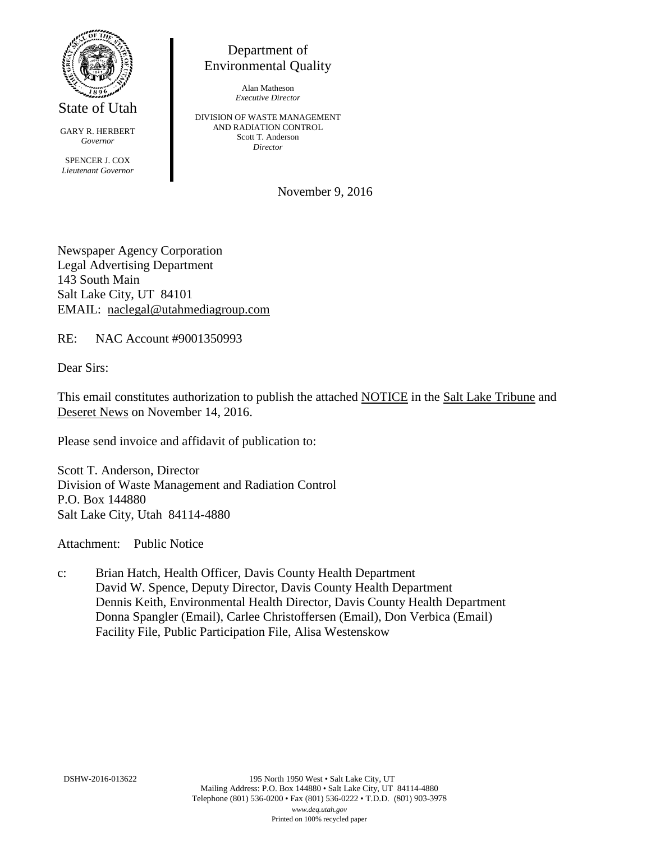

State of Utah

GARY R. HERBERT *Governor* SPENCER J. COX *Lieutenant Governor*

Department of Environmental Quality

> Alan Matheson *Executive Director*

DIVISION OF WASTE MANAGEMENT AND RADIATION CONTROL Scott T. Anderson *Director*

November 9, 2016

Newspaper Agency Corporation Legal Advertising Department 143 South Main Salt Lake City, UT 84101 EMAIL: naclegal@utahmediagroup.com

RE: NAC Account #9001350993

Dear Sirs:

This email constitutes authorization to publish the attached NOTICE in the Salt Lake Tribune and Deseret News on November 14, 2016.

Please send invoice and affidavit of publication to:

Scott T. Anderson, Director Division of Waste Management and Radiation Control P.O. Box 144880 Salt Lake City, Utah 84114-4880

Attachment: Public Notice

c: Brian Hatch, Health Officer, Davis County Health Department David W. Spence, Deputy Director, Davis County Health Department Dennis Keith, Environmental Health Director, Davis County Health Department Donna Spangler (Email), Carlee Christoffersen (Email), Don Verbica (Email) Facility File, Public Participation File, Alisa Westenskow